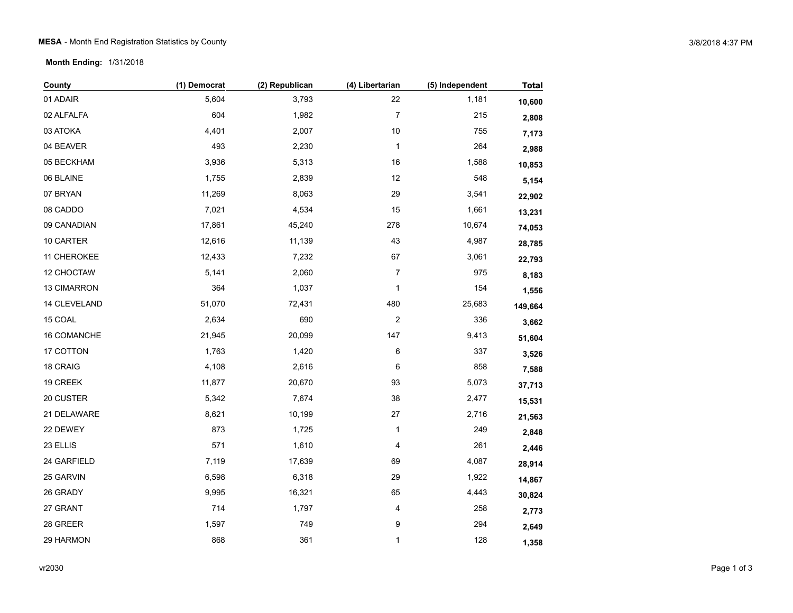**Month Ending:** 1/31/2018

| County       | (1) Democrat | (2) Republican | (4) Libertarian | (5) Independent | <b>Total</b> |
|--------------|--------------|----------------|-----------------|-----------------|--------------|
| 01 ADAIR     | 5,604        | 3,793          | 22              | 1,181           | 10,600       |
| 02 ALFALFA   | 604          | 1,982          | 7               | 215             | 2,808        |
| 03 ATOKA     | 4,401        | 2,007          | $10$            | 755             | 7,173        |
| 04 BEAVER    | 493          | 2,230          | $\mathbf{1}$    | 264             | 2,988        |
| 05 BECKHAM   | 3,936        | 5,313          | $16\,$          | 1,588           | 10,853       |
| 06 BLAINE    | 1,755        | 2,839          | 12              | 548             | 5,154        |
| 07 BRYAN     | 11,269       | 8,063          | 29              | 3,541           | 22,902       |
| 08 CADDO     | 7,021        | 4,534          | 15              | 1,661           | 13,231       |
| 09 CANADIAN  | 17,861       | 45,240         | 278             | 10,674          | 74,053       |
| 10 CARTER    | 12,616       | 11,139         | 43              | 4,987           | 28,785       |
| 11 CHEROKEE  | 12,433       | 7,232          | 67              | 3,061           | 22,793       |
| 12 CHOCTAW   | 5,141        | 2,060          | 7               | 975             | 8,183        |
| 13 CIMARRON  | 364          | 1,037          | $\mathbf{1}$    | 154             | 1,556        |
| 14 CLEVELAND | 51,070       | 72,431         | 480             | 25,683          | 149,664      |
| 15 COAL      | 2,634        | 690            | 2               | 336             | 3,662        |
| 16 COMANCHE  | 21,945       | 20,099         | 147             | 9,413           | 51,604       |
| 17 COTTON    | 1,763        | 1,420          | 6               | 337             | 3,526        |
| 18 CRAIG     | 4,108        | 2,616          | 6               | 858             | 7,588        |
| 19 CREEK     | 11,877       | 20,670         | 93              | 5,073           | 37,713       |
| 20 CUSTER    | 5,342        | 7,674          | 38              | 2,477           | 15,531       |
| 21 DELAWARE  | 8,621        | 10,199         | $27\,$          | 2,716           | 21,563       |
| 22 DEWEY     | 873          | 1,725          | 1               | 249             | 2,848        |
| 23 ELLIS     | 571          | 1,610          | 4               | 261             | 2,446        |
| 24 GARFIELD  | 7,119        | 17,639         | 69              | 4,087           | 28,914       |
| 25 GARVIN    | 6,598        | 6,318          | 29              | 1,922           | 14,867       |
| 26 GRADY     | 9,995        | 16,321         | 65              | 4,443           | 30,824       |
| 27 GRANT     | 714          | 1,797          | 4               | 258             | 2,773        |
| 28 GREER     | 1,597        | 749            | 9               | 294             | 2,649        |
| 29 HARMON    | 868          | 361            | 1               | 128             | 1,358        |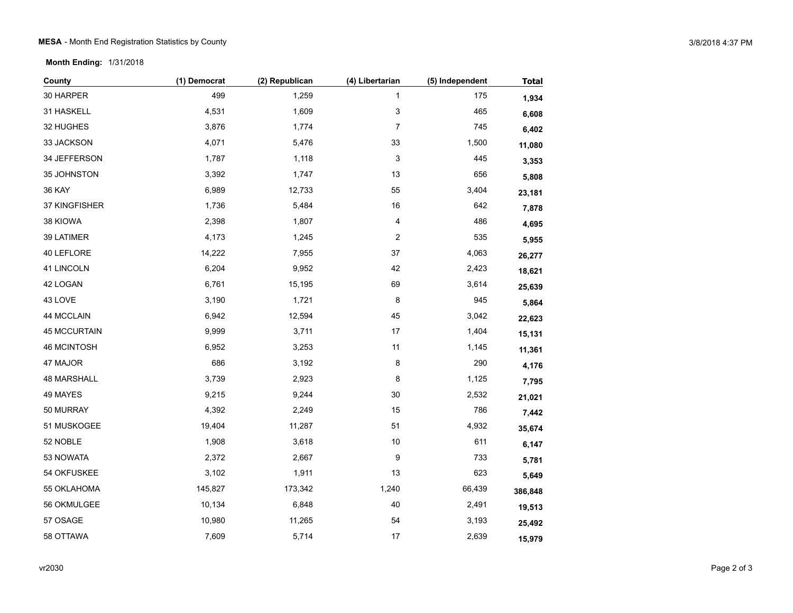**Month Ending:** 1/31/2018

| County              | (1) Democrat | (2) Republican | (4) Libertarian         | (5) Independent | <b>Total</b> |
|---------------------|--------------|----------------|-------------------------|-----------------|--------------|
| 30 HARPER           | 499          | 1,259          | 1                       | 175             | 1,934        |
| 31 HASKELL          | 4,531        | 1,609          | 3                       | 465             | 6,608        |
| 32 HUGHES           | 3,876        | 1,774          | $\boldsymbol{7}$        | 745             | 6,402        |
| 33 JACKSON          | 4,071        | 5,476          | 33                      | 1,500           | 11,080       |
| 34 JEFFERSON        | 1,787        | 1,118          | 3                       | 445             | 3,353        |
| 35 JOHNSTON         | 3,392        | 1,747          | 13                      | 656             | 5,808        |
| <b>36 KAY</b>       | 6,989        | 12,733         | 55                      | 3,404           | 23,181       |
| 37 KINGFISHER       | 1,736        | 5,484          | $16\,$                  | 642             | 7,878        |
| 38 KIOWA            | 2,398        | 1,807          | 4                       | 486             | 4,695        |
| 39 LATIMER          | 4,173        | 1,245          | $\overline{\mathbf{c}}$ | 535             | 5,955        |
| 40 LEFLORE          | 14,222       | 7,955          | 37                      | 4,063           | 26,277       |
| 41 LINCOLN          | 6,204        | 9,952          | 42                      | 2,423           | 18,621       |
| 42 LOGAN            | 6,761        | 15,195         | 69                      | 3,614           | 25,639       |
| 43 LOVE             | 3,190        | 1,721          | 8                       | 945             | 5,864        |
| 44 MCCLAIN          | 6,942        | 12,594         | 45                      | 3,042           | 22,623       |
| <b>45 MCCURTAIN</b> | 9,999        | 3,711          | $17$                    | 1,404           | 15,131       |
| <b>46 MCINTOSH</b>  | 6,952        | 3,253          | 11                      | 1,145           | 11,361       |
| 47 MAJOR            | 686          | 3,192          | 8                       | 290             | 4,176        |
| 48 MARSHALL         | 3,739        | 2,923          | 8                       | 1,125           | 7,795        |
| 49 MAYES            | 9,215        | 9,244          | $30\,$                  | 2,532           | 21,021       |
| 50 MURRAY           | 4,392        | 2,249          | 15                      | 786             | 7,442        |
| 51 MUSKOGEE         | 19,404       | 11,287         | 51                      | 4,932           | 35,674       |
| 52 NOBLE            | 1,908        | 3,618          | $10$                    | 611             | 6,147        |
| 53 NOWATA           | 2,372        | 2,667          | 9                       | 733             | 5,781        |
| 54 OKFUSKEE         | 3,102        | 1,911          | 13                      | 623             | 5,649        |
| 55 OKLAHOMA         | 145,827      | 173,342        | 1,240                   | 66,439          | 386,848      |
| 56 OKMULGEE         | 10,134       | 6,848          | 40                      | 2,491           | 19,513       |
| 57 OSAGE            | 10,980       | 11,265         | 54                      | 3,193           | 25,492       |
| 58 OTTAWA           | 7,609        | 5,714          | 17                      | 2,639           | 15,979       |